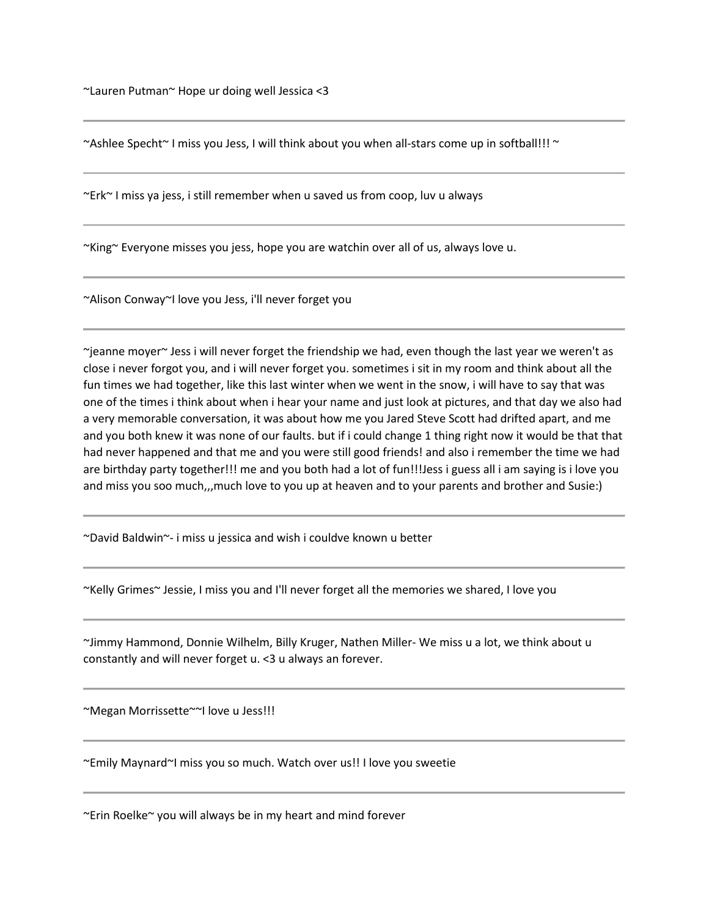~Lauren Putman~ Hope ur doing well Jessica <3

 $\gamma$ Ashlee Specht $\gamma$  I miss you Jess, I will think about you when all-stars come up in softball!!!  $\gamma$ 

~Erk~ I miss ya jess, i still remember when u saved us from coop, luv u always

~King~ Everyone misses you jess, hope you are watchin over all of us, always love u.

~Alison Conway~I love you Jess, i'll never forget you

~jeanne moyer~ Jess i will never forget the friendship we had, even though the last year we weren't as close i never forgot you, and i will never forget you. sometimes i sit in my room and think about all the fun times we had together, like this last winter when we went in the snow, i will have to say that was one of the times i think about when i hear your name and just look at pictures, and that day we also had a very memorable conversation, it was about how me you Jared Steve Scott had drifted apart, and me and you both knew it was none of our faults. but if i could change 1 thing right now it would be that that had never happened and that me and you were still good friends! and also i remember the time we had are birthday party together!!! me and you both had a lot of fun!!!Jess i guess all i am saying is i love you and miss you soo much,,,much love to you up at heaven and to your parents and brother and Susie:)

~David Baldwin~- i miss u jessica and wish i couldve known u better

~Kelly Grimes~ Jessie, I miss you and I'll never forget all the memories we shared, I love you

~Jimmy Hammond, Donnie Wilhelm, Billy Kruger, Nathen Miller- We miss u a lot, we think about u constantly and will never forget u. <3 u always an forever.

~Megan Morrissette~~I love u Jess!!!

~Emily Maynard~I miss you so much. Watch over us!! I love you sweetie

~Erin Roelke~ you will always be in my heart and mind forever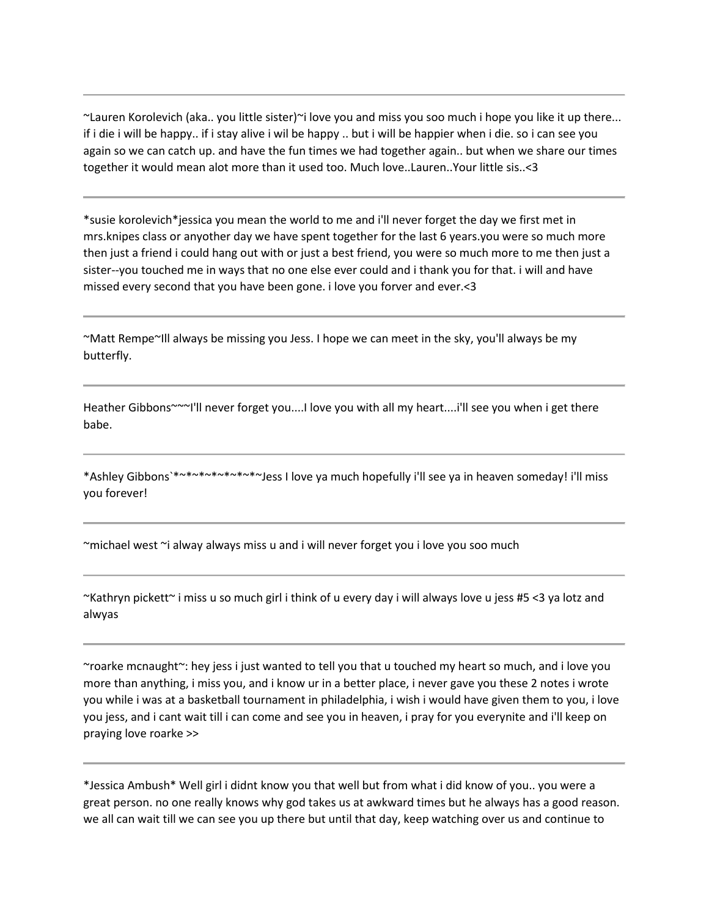~Lauren Korolevich (aka.. you little sister)~i love you and miss you soo much i hope you like it up there... if i die i will be happy.. if i stay alive i wil be happy .. but i will be happier when i die. so i can see you again so we can catch up. and have the fun times we had together again.. but when we share our times together it would mean alot more than it used too. Much love..Lauren..Your little sis..<3

\*susie korolevich\*jessica you mean the world to me and i'll never forget the day we first met in mrs.knipes class or anyother day we have spent together for the last 6 years.you were so much more then just a friend i could hang out with or just a best friend, you were so much more to me then just a sister--you touched me in ways that no one else ever could and i thank you for that. i will and have missed every second that you have been gone. i love you forver and ever.<3

~Matt Rempe~Ill always be missing you Jess. I hope we can meet in the sky, you'll always be my butterfly.

Heather Gibbons~~~I'll never forget you....I love you with all my heart....i'll see you when i get there babe.

\*Ashley Gibbons`\*~\*~\*~\*~\*~\*~\*~Jess I love ya much hopefully i'll see ya in heaven someday! i'll miss you forever!

~michael west ~i alway always miss u and i will never forget you i love you soo much

~Kathryn pickett~ i miss u so much girl i think of u every day i will always love u jess #5 <3 ya lotz and alwyas

~roarke mcnaught~: hey jess i just wanted to tell you that u touched my heart so much, and i love you more than anything, i miss you, and i know ur in a better place, i never gave you these 2 notes i wrote you while i was at a basketball tournament in philadelphia, i wish i would have given them to you, i love you jess, and i cant wait till i can come and see you in heaven, i pray for you everynite and i'll keep on praying love roarke >>

\*Jessica Ambush\* Well girl i didnt know you that well but from what i did know of you.. you were a great person. no one really knows why god takes us at awkward times but he always has a good reason. we all can wait till we can see you up there but until that day, keep watching over us and continue to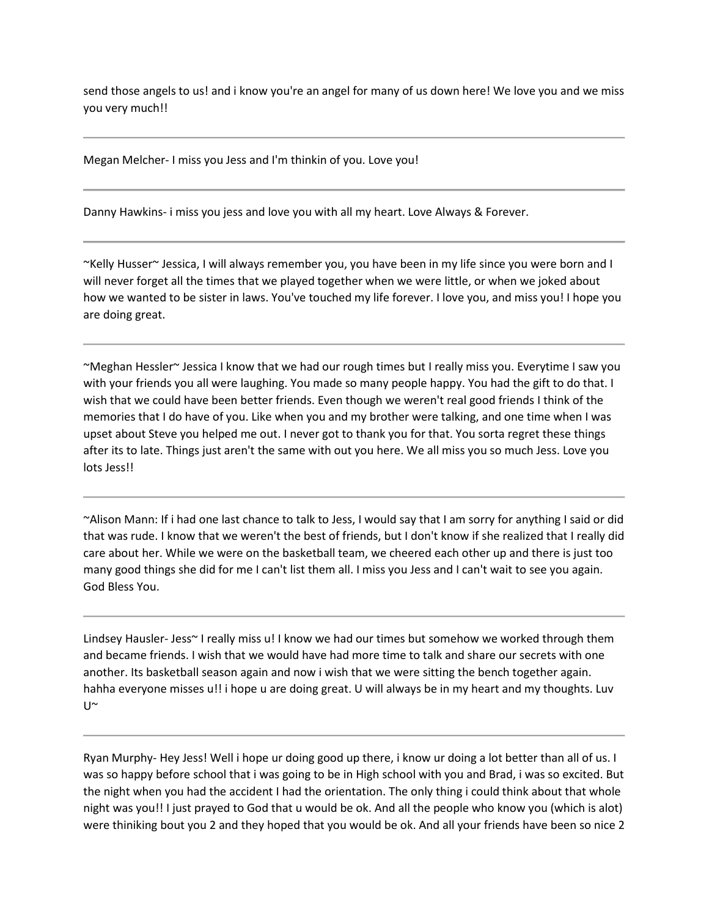send those angels to us! and i know you're an angel for many of us down here! We love you and we miss you very much!!

Megan Melcher- I miss you Jess and I'm thinkin of you. Love you!

Danny Hawkins- i miss you jess and love you with all my heart. Love Always & Forever.

~Kelly Husser~ Jessica, I will always remember you, you have been in my life since you were born and I will never forget all the times that we played together when we were little, or when we joked about how we wanted to be sister in laws. You've touched my life forever. I love you, and miss you! I hope you are doing great.

~Meghan Hessler~ Jessica I know that we had our rough times but I really miss you. Everytime I saw you with your friends you all were laughing. You made so many people happy. You had the gift to do that. I wish that we could have been better friends. Even though we weren't real good friends I think of the memories that I do have of you. Like when you and my brother were talking, and one time when I was upset about Steve you helped me out. I never got to thank you for that. You sorta regret these things after its to late. Things just aren't the same with out you here. We all miss you so much Jess. Love you lots Jess!!

~Alison Mann: If i had one last chance to talk to Jess, I would say that I am sorry for anything I said or did that was rude. I know that we weren't the best of friends, but I don't know if she realized that I really did care about her. While we were on the basketball team, we cheered each other up and there is just too many good things she did for me I can't list them all. I miss you Jess and I can't wait to see you again. God Bless You.

Lindsey Hausler- Jess~ I really miss  $u$ ! I know we had our times but somehow we worked through them and became friends. I wish that we would have had more time to talk and share our secrets with one another. Its basketball season again and now i wish that we were sitting the bench together again. hahha everyone misses u!! i hope u are doing great. U will always be in my heart and my thoughts. Luv  $U^{\sim}$ 

Ryan Murphy- Hey Jess! Well i hope ur doing good up there, i know ur doing a lot better than all of us. I was so happy before school that i was going to be in High school with you and Brad, i was so excited. But the night when you had the accident I had the orientation. The only thing i could think about that whole night was you!! I just prayed to God that u would be ok. And all the people who know you (which is alot) were thiniking bout you 2 and they hoped that you would be ok. And all your friends have been so nice 2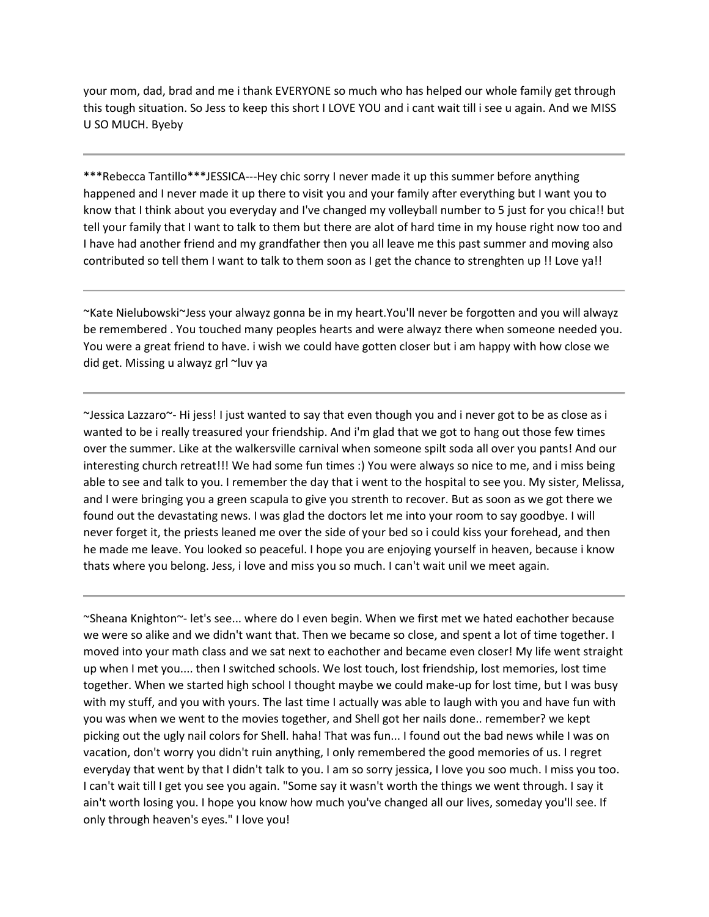your mom, dad, brad and me i thank EVERYONE so much who has helped our whole family get through this tough situation. So Jess to keep this short I LOVE YOU and i cant wait till i see u again. And we MISS U SO MUCH. Byeby

\*\*\*Rebecca Tantillo\*\*\*JESSICA---Hey chic sorry I never made it up this summer before anything happened and I never made it up there to visit you and your family after everything but I want you to know that I think about you everyday and I've changed my volleyball number to 5 just for you chica!! but tell your family that I want to talk to them but there are alot of hard time in my house right now too and I have had another friend and my grandfather then you all leave me this past summer and moving also contributed so tell them I want to talk to them soon as I get the chance to strenghten up !! Love ya!!

~Kate Nielubowski~Jess your alwayz gonna be in my heart.You'll never be forgotten and you will alwayz be remembered . You touched many peoples hearts and were alwayz there when someone needed you. You were a great friend to have. i wish we could have gotten closer but i am happy with how close we did get. Missing u alwayz grl ~luv ya

~Jessica Lazzaro~- Hi jess! I just wanted to say that even though you and i never got to be as close as i wanted to be i really treasured your friendship. And i'm glad that we got to hang out those few times over the summer. Like at the walkersville carnival when someone spilt soda all over you pants! And our interesting church retreat!!! We had some fun times :) You were always so nice to me, and i miss being able to see and talk to you. I remember the day that i went to the hospital to see you. My sister, Melissa, and I were bringing you a green scapula to give you strenth to recover. But as soon as we got there we found out the devastating news. I was glad the doctors let me into your room to say goodbye. I will never forget it, the priests leaned me over the side of your bed so i could kiss your forehead, and then he made me leave. You looked so peaceful. I hope you are enjoying yourself in heaven, because i know thats where you belong. Jess, i love and miss you so much. I can't wait unil we meet again.

~Sheana Knighton~- let's see... where do I even begin. When we first met we hated eachother because we were so alike and we didn't want that. Then we became so close, and spent a lot of time together. I moved into your math class and we sat next to eachother and became even closer! My life went straight up when I met you.... then I switched schools. We lost touch, lost friendship, lost memories, lost time together. When we started high school I thought maybe we could make-up for lost time, but I was busy with my stuff, and you with yours. The last time I actually was able to laugh with you and have fun with you was when we went to the movies together, and Shell got her nails done.. remember? we kept picking out the ugly nail colors for Shell. haha! That was fun... I found out the bad news while I was on vacation, don't worry you didn't ruin anything, I only remembered the good memories of us. I regret everyday that went by that I didn't talk to you. I am so sorry jessica, I love you soo much. I miss you too. I can't wait till I get you see you again. "Some say it wasn't worth the things we went through. I say it ain't worth losing you. I hope you know how much you've changed all our lives, someday you'll see. If only through heaven's eyes." I love you!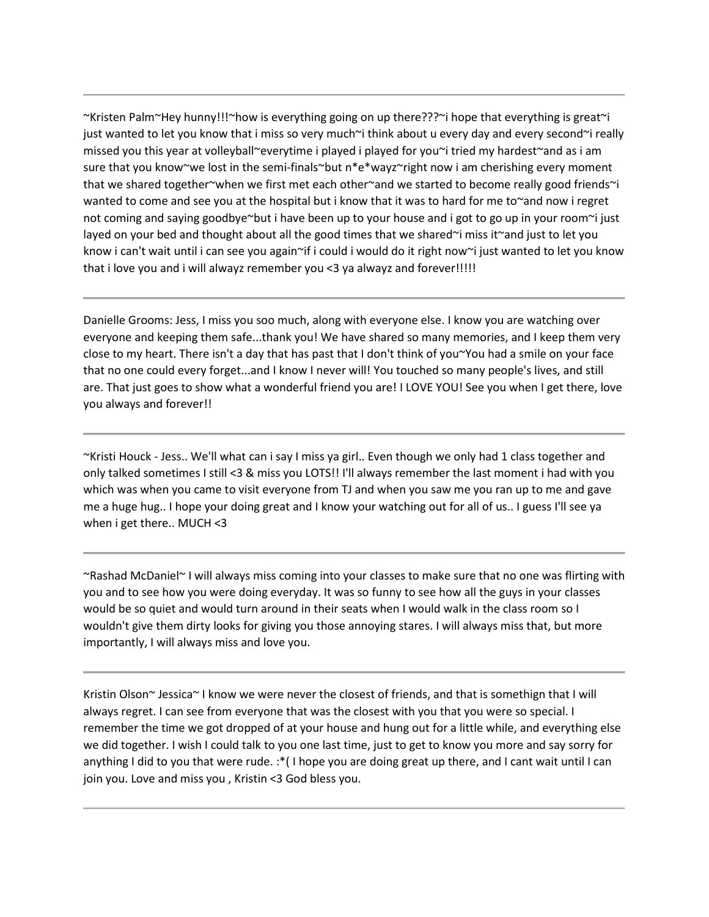~Kristen Palm~Hey hunny!!!~how is everything going on up there???~i hope that everything is great~i just wanted to let you know that i miss so very much~i think about u every day and every second~i really missed you this year at volleyball~everytime i played i played for you~i tried my hardest~and as i am sure that you know~we lost in the semi-finals~but n\*e\*wayz~right now i am cherishing every moment that we shared together~when we first met each other~and we started to become really good friends~i wanted to come and see you at the hospital but i know that it was to hard for me to~and now i regret not coming and saying goodbye~but i have been up to your house and i got to go up in your room~i just layed on your bed and thought about all the good times that we shared~i miss it~and just to let you know i can't wait until i can see you again~if i could i would do it right now~i just wanted to let you know that i love you and i will alwayz remember you <3 ya alwayz and forever!!!!!

Danielle Grooms: Jess, I miss you soo much, along with everyone else. I know you are watching over everyone and keeping them safe...thank you! We have shared so many memories, and I keep them very close to my heart. There isn't a day that has past that I don't think of you~You had a smile on your face that no one could every forget...and I know I never will! You touched so many people's lives, and still are. That just goes to show what a wonderful friend you are! I LOVE YOU! See you when I get there, love you always and forever!!

~Kristi Houck - Jess.. We'll what can i say I miss ya girl.. Even though we only had 1 class together and only talked sometimes I still <3 & miss you LOTS!! I'll always remember the last moment i had with you which was when you came to visit everyone from TJ and when you saw me you ran up to me and gave me a huge hug.. I hope your doing great and I know your watching out for all of us.. I guess I'll see ya when i get there.. MUCH <3

~Rashad McDaniel~ I will always miss coming into your classes to make sure that no one was flirting with you and to see how you were doing everyday. It was so funny to see how all the guys in your classes would be so quiet and would turn around in their seats when I would walk in the class room so I wouldn't give them dirty looks for giving you those annoying stares. I will always miss that, but more importantly, I will always miss and love you.

Kristin Olson~ Jessica~ I know we were never the closest of friends, and that is somethign that I will always regret. I can see from everyone that was the closest with you that you were so special. I remember the time we got dropped of at your house and hung out for a little while, and everything else we did together. I wish I could talk to you one last time, just to get to know you more and say sorry for anything I did to you that were rude. :\*( I hope you are doing great up there, and I cant wait until I can join you. Love and miss you , Kristin <3 God bless you.